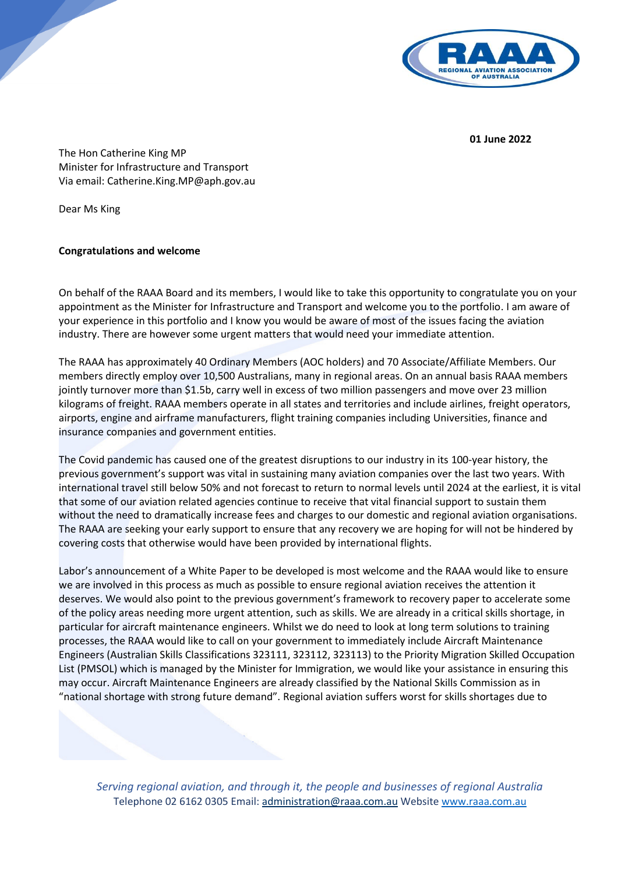

**01 June 2022**

The Hon Catherine King MP Minister for Infrastructure and Transport Via email: Catherine.King.MP@aph.gov.au

Dear Ms King

## **Congratulations and welcome**

On behalf of the RAAA Board and its members, I would like to take this opportunity to congratulate you on your appointment as the Minister for Infrastructure and Transport and welcome you to the portfolio. I am aware of your experience in this portfolio and I know you would be aware of most of the issues facing the aviation industry. There are however some urgent matters that would need your immediate attention.

The RAAA has approximately 40 Ordinary Members (AOC holders) and 70 Associate/Affiliate Members. Our members directly employ over 10,500 Australians, many in regional areas. On an annual basis RAAA members jointly turnover more than \$1.5b, carry well in excess of two million passengers and move over 23 million kilograms of freight. RAAA members operate in all states and territories and include airlines, freight operators, airports, engine and airframe manufacturers, flight training companies including Universities, finance and insurance companies and government entities.

The Covid pandemic has caused one of the greatest disruptions to our industry in its 100-year history, the previous government's support was vital in sustaining many aviation companies over the last two years. With international travel still below 50% and not forecast to return to normal levels until 2024 at the earliest, it is vital that some of our aviation related agencies continue to receive that vital financial support to sustain them without the need to dramatically increase fees and charges to our domestic and regional aviation organisations. The RAAA are seeking your early support to ensure that any recovery we are hoping for will not be hindered by covering costs that otherwise would have been provided by international flights.

Labor's announcement of a White Paper to be developed is most welcome and the RAAA would like to ensure we are involved in this process as much as possible to ensure regional aviation receives the attention it deserves. We would also point to the previous government's framework to recovery paper to accelerate some of the policy areas needing more urgent attention, such as skills. We are already in a critical skills shortage, in particular for aircraft maintenance engineers. Whilst we do need to look at long term solutions to training processes, the RAAA would like to call on your government to immediately include Aircraft Maintenance Engineers (Australian Skills Classifications 323111, 323112, 323113) to the Priority Migration Skilled Occupation List (PMSOL) which is managed by the Minister for Immigration, we would like your assistance in ensuring this may occur. Aircraft Maintenance Engineers are already classified by the National Skills Commission as in "national shortage with strong future demand". Regional aviation suffers worst for skills shortages due to

*Serving regional aviation, and through it, the people and businesses of regional Australia* Telephone 02 6162 0305 Email: [administration@raaa.com.au](mailto:administration@raaa.com.au) Websit[e www.raaa.com.au](http://www.raaa.com.au/)